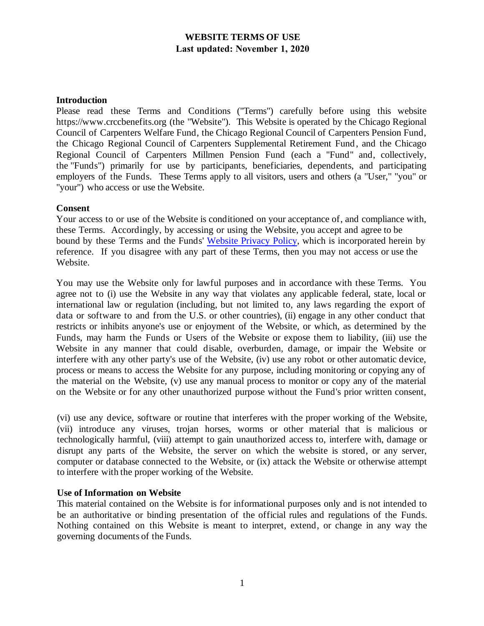# **WEBSITE TERMS OF USE Last updated: November 1, 2020**

### **Introduction**

Please read these Terms and Conditions ("Terms") carefully before using this website https://www.crccbenefits.org (the "Website"). This Website is operated by the Chicago Regional Council of Carpenters Welfare Fund, the Chicago Regional Council of Carpenters Pension Fund, the Chicago Regional Council of Carpenters Supplemental Retirement Fund, and the Chicago Regional Council of Carpenters Millmen Pension Fund (each a "Fund" and, collectively, the "Funds") primarily for use by participants, beneficiaries, dependents, and participating employers of the Funds. These Terms apply to all visitors, users and others (a "User," "you" or "your") who access or use the Website.

### **Consent**

Your access to or use of the Website is conditioned on your acceptance of, and compliance with, these Terms. Accordingly, by accessing or using the Website, you accept and agree to be bound by these Terms and the Funds' [Website Privacy Policy](https://crccbenefits.org/isite135/eremitimages/135/docs/Privacy-Policy.pdf), which is incorporated herein by reference. If you disagree with any part of these Terms, then you may not access or use the Website.

You may use the Website only for lawful purposes and in accordance with these Terms. You agree not to (i) use the Website in any way that violates any applicable federal, state, local or international law or regulation (including, but not limited to, any laws regarding the export of data or software to and from the U.S. or other countries), (ii) engage in any other conduct that restricts or inhibits anyone's use or enjoyment of the Website, or which, as determined by the Funds, may harm the Funds or Users of the Website or expose them to liability, (iii) use the Website in any manner that could disable, overburden, damage, or impair the Website or interfere with any other party's use of the Website, (iv) use any robot or other automatic device, process or means to access the Website for any purpose, including monitoring or copying any of the material on the Website, (v) use any manual process to monitor or copy any of the material on the Website or for any other unauthorized purpose without the Fund's prior written consent,

(vi) use any device, software or routine that interferes with the proper working of the Website, (vii) introduce any viruses, trojan horses, worms or other material that is malicious or technologically harmful, (viii) attempt to gain unauthorized access to, interfere with, damage or disrupt any parts of the Website, the server on which the website is stored, or any server, computer or database connected to the Website, or (ix) attack the Website or otherwise attempt to interfere with the proper working of the Website.

#### **Use of Information on Website**

This material contained on the Website is for informational purposes only and is not intended to be an authoritative or binding presentation of the official rules and regulations of the Funds. Nothing contained on this Website is meant to interpret, extend, or change in any way the governing documents of the Funds.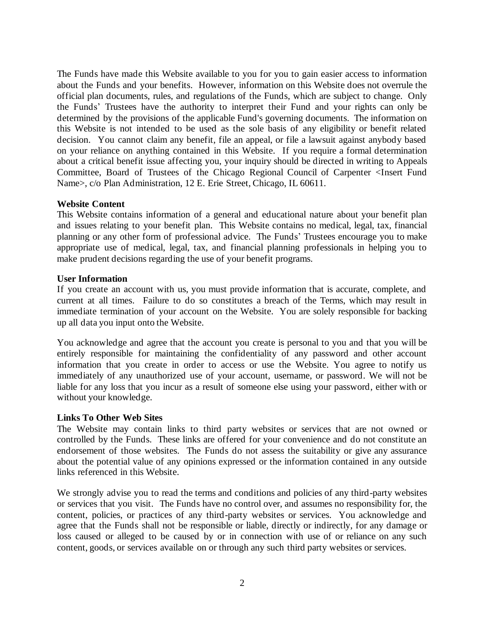The Funds have made this Website available to you for you to gain easier access to information about the Funds and your benefits. However, information on this Website does not overrule the official plan documents, rules, and regulations of the Funds, which are subject to change. Only the Funds' Trustees have the authority to interpret their Fund and your rights can only be determined by the provisions of the applicable Fund's governing documents. The information on this Website is not intended to be used as the sole basis of any eligibility or benefit related decision. You cannot claim any benefit, file an appeal, or file a lawsuit against anybody based on your reliance on anything contained in this Website. If you require a formal determination about a critical benefit issue affecting you, your inquiry should be directed in writing to Appeals Committee, Board of Trustees of the Chicago Regional Council of Carpenter <Insert Fund Name>, c/o Plan Administration, 12 E. Erie Street, Chicago, IL 60611.

## **Website Content**

This Website contains information of a general and educational nature about your benefit plan and issues relating to your benefit plan. This Website contains no medical, legal, tax, financial planning or any other form of professional advice. The Funds' Trustees encourage you to make appropriate use of medical, legal, tax, and financial planning professionals in helping you to make prudent decisions regarding the use of your benefit programs.

### **User Information**

If you create an account with us, you must provide information that is accurate, complete, and current at all times. Failure to do so constitutes a breach of the Terms, which may result in immediate termination of your account on the Website. You are solely responsible for backing up all data you input onto the Website.

You acknowledge and agree that the account you create is personal to you and that you will be entirely responsible for maintaining the confidentiality of any password and other account information that you create in order to access or use the Website. You agree to notify us immediately of any unauthorized use of your account, username, or password. We will not be liable for any loss that you incur as a result of someone else using your password, either with or without your knowledge.

#### **Links To Other Web Sites**

The Website may contain links to third party websites or services that are not owned or controlled by the Funds. These links are offered for your convenience and do not constitute an endorsement of those websites. The Funds do not assess the suitability or give any assurance about the potential value of any opinions expressed or the information contained in any outside links referenced in this Website.

We strongly advise you to read the terms and conditions and policies of any third-party websites or services that you visit. The Funds have no control over, and assumes no responsibility for, the content, policies, or practices of any third-party websites or services. You acknowledge and agree that the Funds shall not be responsible or liable, directly or indirectly, for any damage or loss caused or alleged to be caused by or in connection with use of or reliance on any such content, goods, or services available on or through any such third party websites or services.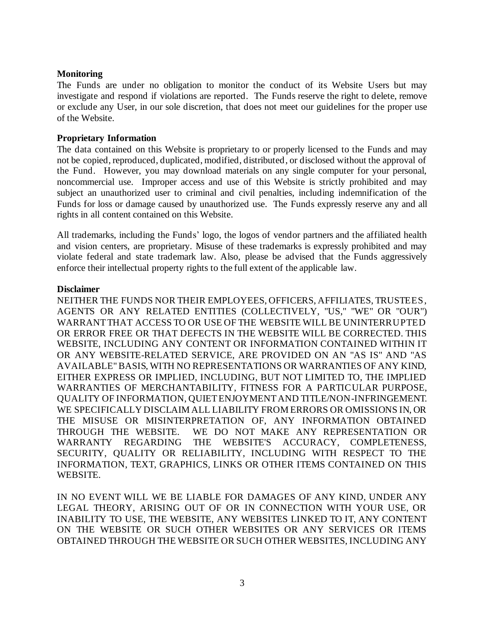## **Monitoring**

The Funds are under no obligation to monitor the conduct of its Website Users but may investigate and respond if violations are reported. The Funds reserve the right to delete, remove or exclude any User, in our sole discretion, that does not meet our guidelines for the proper use of the Website.

### **Proprietary Information**

The data contained on this Website is proprietary to or properly licensed to the Funds and may not be copied, reproduced, duplicated, modified, distributed, or disclosed without the approval of the Fund. However, you may download materials on any single computer for your personal, noncommercial use. Improper access and use of this Website is strictly prohibited and may subject an unauthorized user to criminal and civil penalties, including indemnification of the Funds for loss or damage caused by unauthorized use. The Funds expressly reserve any and all rights in all content contained on this Website.

All trademarks, including the Funds' logo, the logos of vendor partners and the affiliated health and vision centers, are proprietary. Misuse of these trademarks is expressly prohibited and may violate federal and state trademark law. Also, please be advised that the Funds aggressively enforce their intellectual property rights to the full extent of the applicable law.

### **Disclaimer**

NEITHER THE FUNDS NOR THEIR EMPLOYEES, OFFICERS, AFFILIATES, TRUSTEES, AGENTS OR ANY RELATED ENTITIES (COLLECTIVELY, "US," "WE" OR "OUR") WARRANT THAT ACCESS TO OR USE OF THE WEBSITE WILL BE UNINTERRUPTED OR ERROR FREE OR THAT DEFECTS IN THE WEBSITE WILL BE CORRECTED. THIS WEBSITE, INCLUDING ANY CONTENT OR INFORMATION CONTAINED WITHIN IT OR ANY WEBSITE-RELATED SERVICE, ARE PROVIDED ON AN "AS IS" AND "AS AVAILABLE" BASIS, WITH NO REPRESENTATIONS OR WARRANTIES OF ANY KIND, EITHER EXPRESS OR IMPLIED, INCLUDING, BUT NOT LIMITED TO, THE IMPLIED WARRANTIES OF MERCHANTABILITY, FITNESS FOR A PARTICULAR PURPOSE, QUALITY OF INFORMATION, QUIET ENJOYMENT AND TITLE/NON-INFRINGEMENT. WE SPECIFICALLY DISCLAIM ALL LIABILITY FROM ERRORS OR OMISSIONS IN, OR THE MISUSE OR MISINTERPRETATION OF, ANY INFORMATION OBTAINED THROUGH THE WEBSITE. WE DO NOT MAKE ANY REPRESENTATION OR WARRANTY REGARDING THE WEBSITE'S ACCURACY, COMPLETENESS, SECURITY, QUALITY OR RELIABILITY, INCLUDING WITH RESPECT TO THE INFORMATION, TEXT, GRAPHICS, LINKS OR OTHER ITEMS CONTAINED ON THIS WEBSITE.

IN NO EVENT WILL WE BE LIABLE FOR DAMAGES OF ANY KIND, UNDER ANY LEGAL THEORY, ARISING OUT OF OR IN CONNECTION WITH YOUR USE, OR INABILITY TO USE, THE WEBSITE, ANY WEBSITES LINKED TO IT, ANY CONTENT ON THE WEBSITE OR SUCH OTHER WEBSITES OR ANY SERVICES OR ITEMS OBTAINED THROUGH THE WEBSITE OR SUCH OTHER WEBSITES, INCLUDING ANY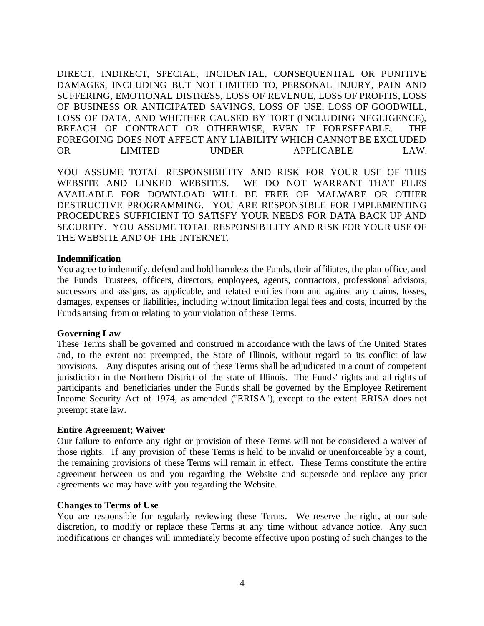DIRECT, INDIRECT, SPECIAL, INCIDENTAL, CONSEQUENTIAL OR PUNITIVE DAMAGES, INCLUDING BUT NOT LIMITED TO, PERSONAL INJURY, PAIN AND SUFFERING, EMOTIONAL DISTRESS, LOSS OF REVENUE, LOSS OF PROFITS, LOSS OF BUSINESS OR ANTICIPATED SAVINGS, LOSS OF USE, LOSS OF GOODWILL, LOSS OF DATA, AND WHETHER CAUSED BY TORT (INCLUDING NEGLIGENCE), BREACH OF CONTRACT OR OTHERWISE, EVEN IF FORESEEABLE. THE FOREGOING DOES NOT AFFECT ANY LIABILITY WHICH CANNOT BE EXCLUDED OR LIMITED UNDER APPLICABLE LAW.

YOU ASSUME TOTAL RESPONSIBILITY AND RISK FOR YOUR USE OF THIS WEBSITE AND LINKED WEBSITES. WE DO NOT WARRANT THAT FILES AVAILABLE FOR DOWNLOAD WILL BE FREE OF MALWARE OR OTHER DESTRUCTIVE PROGRAMMING. YOU ARE RESPONSIBLE FOR IMPLEMENTING PROCEDURES SUFFICIENT TO SATISFY YOUR NEEDS FOR DATA BACK UP AND SECURITY. YOU ASSUME TOTAL RESPONSIBILITY AND RISK FOR YOUR USE OF THE WEBSITE AND OF THE INTERNET.

#### **Indemnification**

You agree to indemnify, defend and hold harmless the Funds, their affiliates, the plan office, and the Funds' Trustees, officers, directors, employees, agents, contractors, professional advisors, successors and assigns, as applicable, and related entities from and against any claims, losses, damages, expenses or liabilities, including without limitation legal fees and costs, incurred by the Funds arising from or relating to your violation of these Terms.

#### **Governing Law**

These Terms shall be governed and construed in accordance with the laws of the United States and, to the extent not preempted, the State of Illinois, without regard to its conflict of law provisions. Any disputes arising out of these Terms shall be adjudicated in a court of competent jurisdiction in the Northern District of the state of Illinois. The Funds' rights and all rights of participants and beneficiaries under the Funds shall be governed by the Employee Retirement Income Security Act of 1974, as amended ("ERISA"), except to the extent ERISA does not preempt state law.

## **Entire Agreement; Waiver**

Our failure to enforce any right or provision of these Terms will not be considered a waiver of those rights. If any provision of these Terms is held to be invalid or unenforceable by a court, the remaining provisions of these Terms will remain in effect. These Terms constitute the entire agreement between us and you regarding the Website and supersede and replace any prior agreements we may have with you regarding the Website.

## **Changes to Terms of Use**

You are responsible for regularly reviewing these Terms. We reserve the right, at our sole discretion, to modify or replace these Terms at any time without advance notice. Any such modifications or changes will immediately become effective upon posting of such changes to the